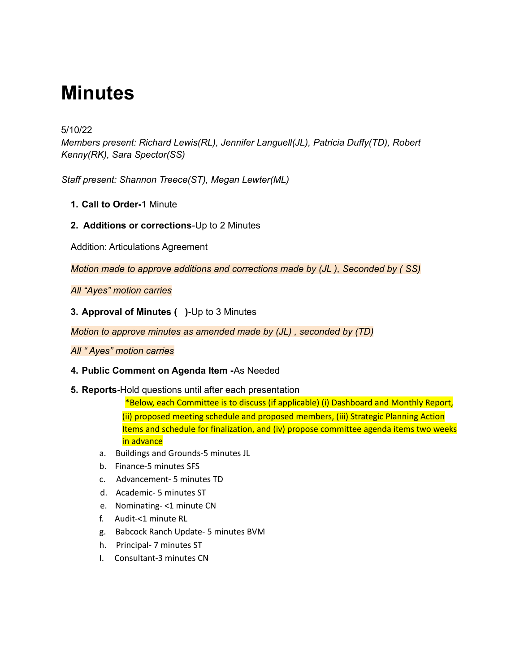# **Minutes**

# 5/10/22

*Members present: Richard Lewis(RL), Jennifer Languell(JL), Patricia Duffy(TD), Robert Kenny(RK), Sara Spector(SS)*

*Staff present: Shannon Treece(ST), Megan Lewter(ML)*

- **1. Call to Order-**1 Minute
- **2. Additions or corrections**-Up to 2 Minutes

Addition: Articulations Agreement

*Motion made to approve additions and corrections made by (JL ), Seconded by ( SS)*

*All "Ayes" motion carries*

**3. Approval of Minutes ( )-**Up to 3 Minutes

*Motion to approve minutes as amended made by (JL) , seconded by (TD)*

*All " Ayes" motion carries*

## **4. Public Comment on Agenda Item -**As Needed

**5. Reports-**Hold questions until after each presentation

\*Below, each Committee is to discuss (if applicable) (i) Dashboard and Monthly Report, (ii) proposed meeting schedule and proposed members, (iii) Strategic Planning Action Items and schedule for finalization, and (iv) propose committee agenda items two weeks in advance

- a. Buildings and Grounds-5 minutes JL
- b. Finance-5 minutes SFS
- c. Advancement- 5 minutes TD
- d. Academic- 5 minutes ST
- e. Nominating- <1 minute CN
- f. Audit-<1 minute RL
- g. Babcock Ranch Update- 5 minutes BVM
- h. Principal- 7 minutes ST
- I. Consultant-3 minutes CN